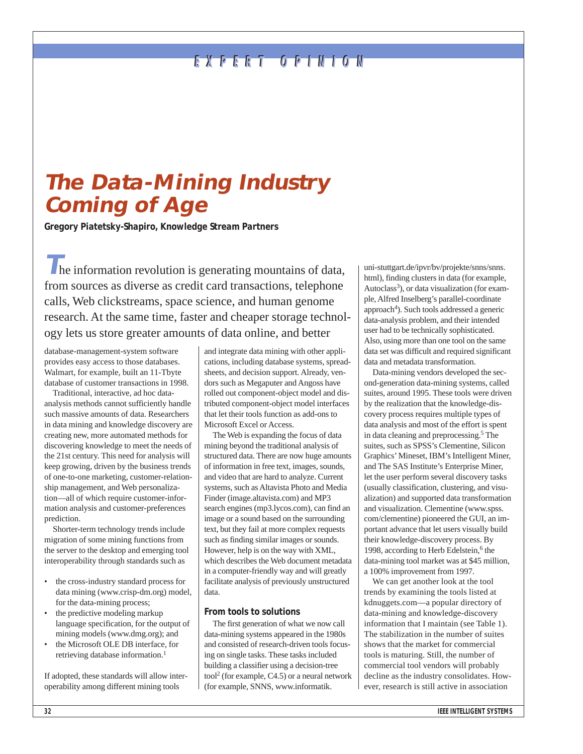# **EXPERT OPINION EXPERT OPINION**

# **The Data-Mining Industry Coming of Age**

**Gregory Piatetsky-Shapiro, Knowledge Stream Partners**

**T**he information revolution is generating mountains of data, from sources as diverse as credit card transactions, telephone calls, Web clickstreams, space science, and human genome research. At the same time, faster and cheaper storage technology lets us store greater amounts of data online, and better

database-management-system software provides easy access to those databases. Walmart, for example, built an 11-Tbyte database of customer transactions in 1998.

Traditional, interactive, ad hoc dataanalysis methods cannot sufficiently handle such massive amounts of data. Researchers in data mining and knowledge discovery are creating new, more automated methods for discovering knowledge to meet the needs of the 21st century. This need for analysis will keep growing, driven by the business trends of one-to-one marketing, customer-relationship management, and Web personalization—all of which require customer-information analysis and customer-preferences prediction.

Shorter-term technology trends include migration of some mining functions from the server to the desktop and emerging tool interoperability through standards such as

- the cross-industry standard process for data mining (www.crisp-dm.org) model, for the data-mining process;
- the predictive modeling markup language specification, for the output of mining models (www.dmg.org); and
- the Microsoft OLE DB interface, for retrieving database information.1

If adopted, these standards will allow interoperability among different mining tools

and integrate data mining with other applications, including database systems, spreadsheets, and decision support. Already, vendors such as Megaputer and Angoss have rolled out component-object model and distributed component-object model interfaces that let their tools function as add-ons to Microsoft Excel or Access.

The Web is expanding the focus of data mining beyond the traditional analysis of structured data. There are now huge amounts of information in free text, images, sounds, and video that are hard to analyze. Current systems, such as Altavista Photo and Media Finder (image.altavista.com) and MP3 search engines (mp3.lycos.com), can find an image or a sound based on the surrounding text, but they fail at more complex requests such as finding similar images or sounds. However, help is on the way with XML, which describes the Web document metadata in a computer-friendly way and will greatly facilitate analysis of previously unstructured data.

### **From tools to solutions**

The first generation of what we now call data-mining systems appeared in the 1980s and consisted of research-driven tools focusing on single tasks. These tasks included building a classifier using a decision-tree tool2 (for example, C4.5) or a neural network (for example, SNNS, www.informatik.

uni-stuttgart.de/ipvr/bv/projekte/snns/snns. html), finding clusters in data (for example, Autoclass<sup>3</sup>), or data visualization (for example, Alfred Inselberg's parallel-coordinate approach<sup>4</sup>). Such tools addressed a generic data-analysis problem, and their intended user had to be technically sophisticated. Also, using more than one tool on the same data set was difficult and required significant data and metadata transformation.

Data-mining vendors developed the second-generation data-mining systems, called suites, around 1995. These tools were driven by the realization that the knowledge-discovery process requires multiple types of data analysis and most of the effort is spent in data cleaning and preprocessing.5 The suites, such as SPSS's Clementine, Silicon Graphics' Mineset, IBM's Intelligent Miner, and The SAS Institute's Enterprise Miner, let the user perform several discovery tasks (usually classification, clustering, and visualization) and supported data transformation and visualization. Clementine (www.spss. com/clementine) pioneered the GUI, an important advance that let users visually build their knowledge-discovery process. By 1998, according to Herb Edelstein,<sup>6</sup> the data-mining tool market was at \$45 million, a 100% improvement from 1997.

We can get another look at the tool trends by examining the tools listed at kdnuggets.com—a popular directory of data-mining and knowledge-discovery information that I maintain (see Table 1). The stabilization in the number of suites shows that the market for commercial tools is maturing. Still, the number of commercial tool vendors will probably decline as the industry consolidates. However, research is still active in association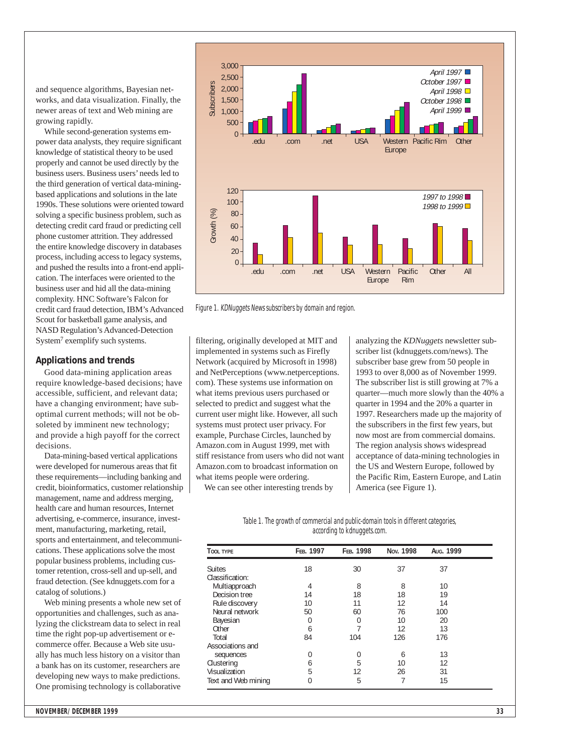and sequence algorithms, Bayesian networks, and data visualization. Finally, the newer areas of text and Web mining are growing rapidly.

While second-generation systems empower data analysts, they require significant knowledge of statistical theory to be used properly and cannot be used directly by the business users. Business users' needs led to the third generation of vertical data-miningbased applications and solutions in the late 1990s. These solutions were oriented toward solving a specific business problem, such as detecting credit card fraud or predicting cell phone customer attrition. They addressed the entire knowledge discovery in databases process, including access to legacy systems, and pushed the results into a front-end application. The interfaces were oriented to the business user and hid all the data-mining complexity. HNC Software's Falcon for credit card fraud detection, IBM's Advanced Scout for basketball game analysis, and NASD Regulation's Advanced-Detection System7 exemplify such systems.

#### **Applications and trends**

Good data-mining application areas require knowledge-based decisions; have accessible, sufficient, and relevant data; have a changing environment; have suboptimal current methods; will not be obsoleted by imminent new technology; and provide a high payoff for the correct decisions.

Data-mining-based vertical applications were developed for numerous areas that fit these requirements—including banking and credit, bioinformatics, customer relationship management, name and address merging, health care and human resources, Internet advertising, e-commerce, insurance, investment, manufacturing, marketing, retail, sports and entertainment, and telecommunications. These applications solve the most popular business problems, including customer retention, cross-sell and up-sell, and fraud detection. (See kdnuggets.com for a catalog of solutions.)

Web mining presents a whole new set of opportunities and challenges, such as analyzing the clickstream data to select in real time the right pop-up advertisement or ecommerce offer. Because a Web site usually has much less history on a visitor than a bank has on its customer, researchers are developing new ways to make predictions. One promising technology is collaborative



Figure 1. KDNuggets News subscribers by domain and region.

filtering, originally developed at MIT and implemented in systems such as Firefly Network (acquired by Microsoft in 1998) and NetPerceptions (www.netperceptions. com). These systems use information on what items previous users purchased or selected to predict and suggest what the current user might like. However, all such systems must protect user privacy. For example, Purchase Circles, launched by Amazon.com in August 1999, met with stiff resistance from users who did not want Amazon.com to broadcast information on what items people were ordering.

We can see other interesting trends by

analyzing the *KDNuggets* newsletter subscriber list (kdnuggets.com/news). The subscriber base grew from 50 people in 1993 to over 8,000 as of November 1999. The subscriber list is still growing at 7% a quarter—much more slowly than the 40% a quarter in 1994 and the 20% a quarter in 1997. Researchers made up the majority of the subscribers in the first few years, but now most are from commercial domains. The region analysis shows widespread acceptance of data-mining technologies in the US and Western Europe, followed by the Pacific Rim, Eastern Europe, and Latin America (see Figure 1).

Table 1. The growth of commercial and public-domain tools in different categories, according to kdnuggets.com.

| <b>TOOL TYPE</b>               | FEB. 1997 | FEB. 1998 | Nov. 1998 | Aug. 1999 |  |
|--------------------------------|-----------|-----------|-----------|-----------|--|
| <b>Suites</b>                  | 18        | 30        | 37        | 37        |  |
| Classification:                |           |           |           |           |  |
| Multiapproach<br>Decision tree | 4         | 8         | 8         | 10        |  |
|                                | 14        | 18        | 18        | 19        |  |
| Rule discovery                 | 10        | 11        | 12        | 14        |  |
| Neural network                 | 50        | 60        | 76        | 100       |  |
| Bayesian                       | 0         | $\Omega$  | 10        | 20        |  |
| Other                          | 6         |           | 12        | 13        |  |
| Total                          | 84        | 104       | 126       | 176       |  |
| Associations and               |           |           |           |           |  |
| sequences                      | 0         | 0         | 6         | 13        |  |
| Clustering                     | 6         | 5         | 10        | 12        |  |
| Visualization                  | 5         | 12        | 26        | 31        |  |
| Text and Web mining            | $\Omega$  | 5         |           | 15        |  |